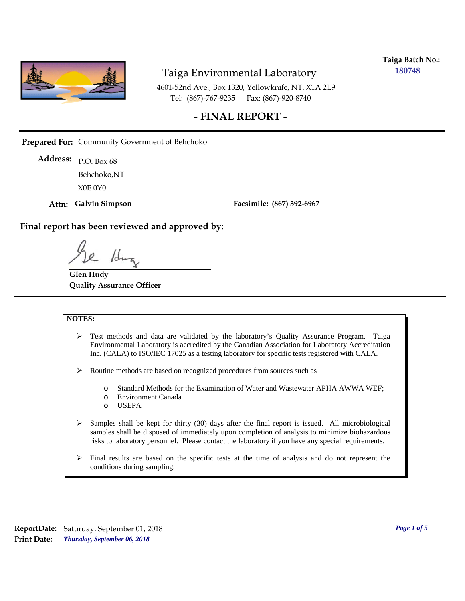

**Taiga Batch No.: 180748**

4601-52nd Ave., Box 1320, Yellowknife, NT. X1A 2L9 Tel: (867)-767-9235 Fax: (867)-920-8740

## **- FINAL REPORT -**

**Prepared For:** Community Government of Behchoko

P.O. Box 68 **Address:** X0E 0Y0 Behchoko,NT

**Attn: Galvin Simpson**

**Facsimile: (867) 392-6967**

**Final report has been reviewed and approved by:**

1da

**Glen Hudy Quality Assurance Officer**

#### **NOTES:**

- $\triangleright$  Test methods and data are validated by the laboratory's Quality Assurance Program. Taiga Environmental Laboratory is accredited by the Canadian Association for Laboratory Accreditation Inc. (CALA) to ISO/IEC 17025 as a testing laboratory for specific tests registered with CALA.
- Routine methods are based on recognized procedures from sources such as
	- o Standard Methods for the Examination of Water and Wastewater APHA AWWA WEF;
	- o Environment Canada
	- o USEPA
- $\triangleright$  Samples shall be kept for thirty (30) days after the final report is issued. All microbiological samples shall be disposed of immediately upon completion of analysis to minimize biohazardous risks to laboratory personnel. Please contact the laboratory if you have any special requirements.
- $\triangleright$  Final results are based on the specific tests at the time of analysis and do not represent the conditions during sampling.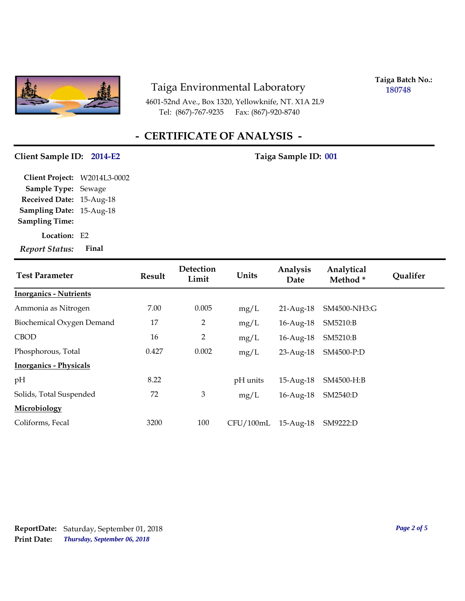

4601-52nd Ave., Box 1320, Yellowknife, NT. X1A 2L9 Tel: (867)-767-9235 Fax: (867)-920-8740

**Taiga Batch No.: 180748**

# **- CERTIFICATE OF ANALYSIS -**

### Client Sample ID: 2014-E2 Taiga Sample ID: 001

**Location:** E2 **Sampling Date:** 15-Aug-18 **Received Date:** 15-Aug-18 **Client Project:** W2014L3-0002 **Sample Type:** Sewage **Sampling Time:** *Report Status:* **Final**

| <b>Test Parameter</b>         | <b>Result</b> | Detection<br>Limit | Units     | Analysis<br>Date | Analytical<br>Method* | <b>Oualifer</b> |
|-------------------------------|---------------|--------------------|-----------|------------------|-----------------------|-----------------|
| <b>Inorganics - Nutrients</b> |               |                    |           |                  |                       |                 |
| Ammonia as Nitrogen           | 7.00          | 0.005              | mg/L      | $21$ -Aug- $18$  | SM4500-NH3:G          |                 |
| Biochemical Oxygen Demand     | 17            | $\overline{2}$     | mg/L      | $16$ -Aug- $18$  | SM5210:B              |                 |
| <b>CBOD</b>                   | 16            | 2                  | mg/L      | 16-Aug-18        | SM5210:B              |                 |
| Phosphorous, Total            | 0.427         | 0.002              | mg/L      | 23-Aug-18        | SM4500-P:D            |                 |
| <b>Inorganics - Physicals</b> |               |                    |           |                  |                       |                 |
| pH                            | 8.22          |                    | pH units  | 15-Aug-18        | SM4500-H:B            |                 |
| Solids, Total Suspended       | 72            | 3                  | mg/L      | 16-Aug-18        | SM2540:D              |                 |
| Microbiology                  |               |                    |           |                  |                       |                 |
| Coliforms, Fecal              | 3200          | 100                | CFU/100mL | $15$ -Aug- $18$  | SM9222:D              |                 |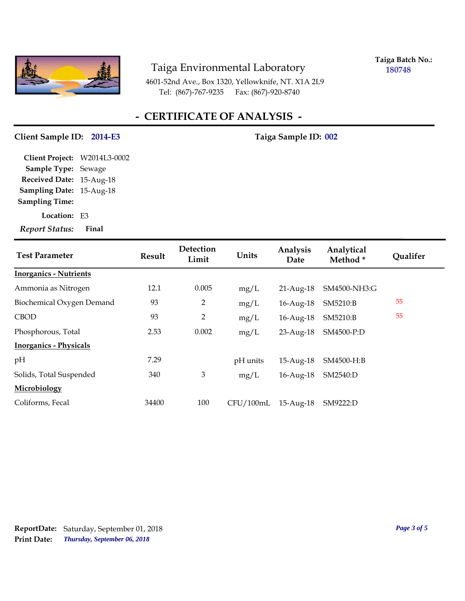

**Taiga Batch No.: 180748**

4601-52nd Ave., Box 1320, Yellowknife, NT. X1A 2L9 Tel: (867)-767-9235 Fax: (867)-920-8740

# **- CERTIFICATE OF ANALYSIS -**

### Client Sample ID: 2014-E3 Taiga Sample ID: 002

**Location:** E3 **Sampling Date:** 15-Aug-18 **Received Date:** 15-Aug-18 **Client Project:** W2014L3-0002 **Sample Type:** Sewage **Sampling Time:**

*Report Status:* **Final**

| <b>Test Parameter</b>         | <b>Result</b> | Detection<br>Limit | Units     | Analysis<br>Date | Analytical<br>Method* | Qualifer |
|-------------------------------|---------------|--------------------|-----------|------------------|-----------------------|----------|
| <b>Inorganics - Nutrients</b> |               |                    |           |                  |                       |          |
| Ammonia as Nitrogen           | 12.1          | 0.005              | mg/L      | $21$ -Aug- $18$  | SM4500-NH3:G          |          |
| Biochemical Oxygen Demand     | 93            | 2                  | mg/L      | $16$ -Aug- $18$  | SM5210:B              | 55       |
| <b>CBOD</b>                   | 93            | $\overline{2}$     | mg/L      | $16$ -Aug- $18$  | SM5210:B              | 55       |
| Phosphorous, Total            | 2.53          | 0.002              | mg/L      | 23-Aug-18        | SM4500-P:D            |          |
| <b>Inorganics - Physicals</b> |               |                    |           |                  |                       |          |
| pH                            | 7.29          |                    | pH units  | 15-Aug-18        | SM4500-H:B            |          |
| Solids, Total Suspended       | 340           | 3                  | mg/L      | $16$ -Aug- $18$  | SM2540:D              |          |
| Microbiology                  |               |                    |           |                  |                       |          |
| Coliforms, Fecal              | 34400         | 100                | CFU/100mL | $15-Aug-18$      | SM9222:D              |          |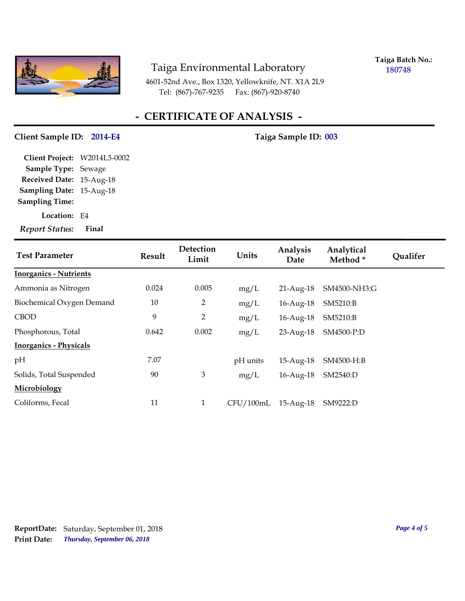

**Taiga Batch No.: 180748**

4601-52nd Ave., Box 1320, Yellowknife, NT. X1A 2L9 Tel: (867)-767-9235 Fax: (867)-920-8740

# **- CERTIFICATE OF ANALYSIS -**

### Client Sample ID: 2014-E4 Taiga Sample ID: 003

**Location:** E4 **Sampling Date:** 15-Aug-18 **Received Date:** 15-Aug-18 **Client Project:** W2014L3-0002 **Sample Type:** Sewage **Sampling Time:**

*Report Status:* **Final**

| <b>Test Parameter</b>         | <b>Result</b> | Detection<br>Limit | Units     | Analysis<br>Date | Analytical<br>Method* | <b>Qualifer</b> |
|-------------------------------|---------------|--------------------|-----------|------------------|-----------------------|-----------------|
| <b>Inorganics - Nutrients</b> |               |                    |           |                  |                       |                 |
| Ammonia as Nitrogen           | 0.024         | 0.005              | mg/L      | $21$ -Aug- $18$  | SM4500-NH3:G          |                 |
| Biochemical Oxygen Demand     | 10            | 2                  | mg/L      | $16$ -Aug- $18$  | SM5210:B              |                 |
| <b>CBOD</b>                   | 9             | $\overline{2}$     | mg/L      | $16$ -Aug- $18$  | SM5210:B              |                 |
| Phosphorous, Total            | 0.642         | 0.002              | mg/L      | 23-Aug-18        | SM4500-P:D            |                 |
| <b>Inorganics - Physicals</b> |               |                    |           |                  |                       |                 |
| pH                            | 7.07          |                    | pH units  | 15-Aug-18        | SM4500-H:B            |                 |
| Solids, Total Suspended       | 90            | 3                  | mg/L      | $16$ -Aug- $18$  | SM2540:D              |                 |
| Microbiology                  |               |                    |           |                  |                       |                 |
| Coliforms, Fecal              | 11            | $\mathbf{1}$       | CFU/100mL | 15-Aug-18        | SM9222:D              |                 |